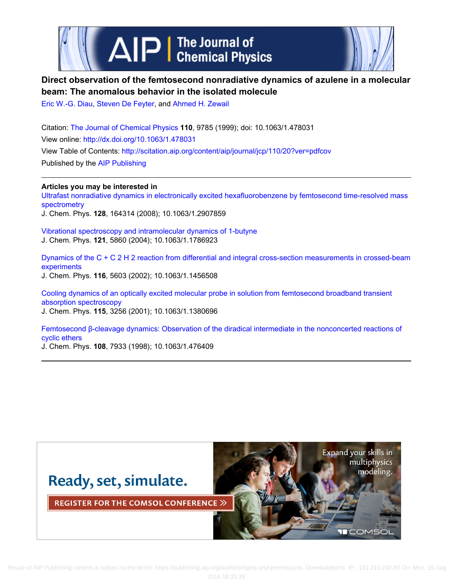



# **Direct observation of the femtosecond nonradiative dynamics of azulene in a molecular beam: The anomalous behavior in the isolated molecule**

Eric W.-G. Diau, Steven De Feyter, and Ahmed H. Zewail

Citation: The Journal of Chemical Physics **110**, 9785 (1999); doi: 10.1063/1.478031 View online: http://dx.doi.org/10.1063/1.478031 View Table of Contents: http://scitation.aip.org/content/aip/journal/jcp/110/20?ver=pdfcov Published by the AIP Publishing

**Articles you may be interested in** Ultrafast nonradiative dynamics in electronically excited hexafluorobenzene by femtosecond time-resolved mass spectrometry J. Chem. Phys. **128**, 164314 (2008); 10.1063/1.2907859

Vibrational spectroscopy and intramolecular dynamics of 1-butyne J. Chem. Phys. **121**, 5860 (2004); 10.1063/1.1786923

Dynamics of the C + C 2 H 2 reaction from differential and integral cross-section measurements in crossed-beam experiments J. Chem. Phys. **116**, 5603 (2002); 10.1063/1.1456508

Cooling dynamics of an optically excited molecular probe in solution from femtosecond broadband transient absorption spectroscopy J. Chem. Phys. **115**, 3256 (2001); 10.1063/1.1380696

Femtosecond β-cleavage dynamics: Observation of the diradical intermediate in the nonconcerted reactions of cyclic ethers

J. Chem. Phys. **108**, 7933 (1998); 10.1063/1.476409

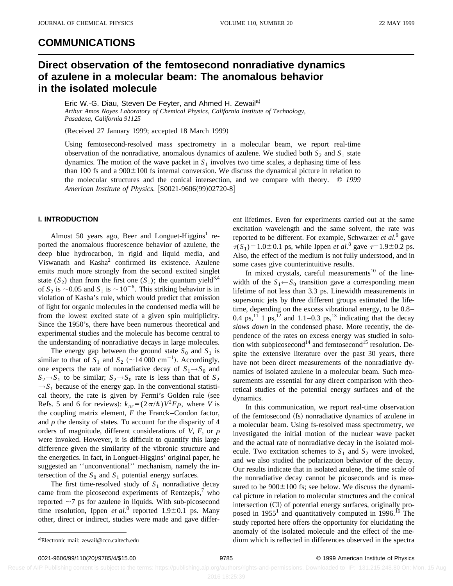### **COMMUNICATIONS**

## **Direct observation of the femtosecond nonradiative dynamics of azulene in a molecular beam: The anomalous behavior in the isolated molecule**

Eric W.-G. Diau, Steven De Feyter, and Ahmed H. Zewail<sup>a)</sup> *Arthur Amos Noyes Laboratory of Chemical Physics, California Institute of Technology, Pasadena, California 91125*

(Received 27 January 1999; accepted 18 March 1999)

Using femtosecond-resolved mass spectrometry in a molecular beam, we report real-time observation of the nonradiative, anomalous dynamics of azulene. We studied both  $S_2$  and  $S_1$  state dynamics. The motion of the wave packet in  $S_1$  involves two time scales, a dephasing time of less than 100 fs and a  $900\pm100$  fs internal conversion. We discuss the dynamical picture in relation to the molecular structures and the conical intersection, and we compare with theory. © *1999 American Institute of Physics.* [S0021-9606(99)02720-8]

### **I. INTRODUCTION**

Almost 50 years ago, Beer and Longuet-Higgins<sup>1</sup> reported the anomalous fluorescence behavior of azulene, the deep blue hydrocarbon, in rigid and liquid media, and Viswanath and Kasha<sup>2</sup> confirmed its existence. Azulene emits much more strongly from the second excited singlet state  $(S_2)$  than from the first one  $(S_1)$ ; the quantum yield<sup>3,4</sup> of  $S_2$  is  $\sim$ 0.05 and  $S_1$  is  $\sim$ 10<sup>-6</sup>. This striking behavior is in violation of Kasha's rule, which would predict that emission of light for organic molecules in the condensed media will be from the lowest excited state of a given spin multiplicity. Since the 1950's, there have been numerous theoretical and experimental studies and the molecule has become central to the understanding of nonradiative decays in large molecules.

The energy gap between the ground state  $S_0$  and  $S_1$  is similar to that of  $S_1$  and  $S_2$  (~14 000 cm<sup>-1</sup>). Accordingly, one expects the rate of nonradiative decay of  $S_1 \rightarrow S_0$  and  $S_2 \rightarrow S_1$  to be similar;  $S_2 \rightarrow S_0$  rate is less than that of  $S_2$  $\rightarrow$  *S*<sub>1</sub> because of the energy gap. In the conventional statistical theory, the rate is given by Fermi's Golden rule (see Refs. 5 and 6 for reviews):  $k_{nr} = (2\pi/\hbar)V^2F\rho$ , where *V* is the coupling matrix element, *F* the Franck–Condon factor, and  $\rho$  the density of states. To account for the disparity of 4 orders of magnitude, different considerations of  $V$ ,  $F$ , or  $\rho$ were invoked. However, it is difficult to quantify this large difference given the similarity of the vibronic structure and the energetics. In fact, in Longuet-Higgins' original paper, he suggested an ''unconventional'' mechanism, namely the intersection of the  $S_0$  and  $S_1$  potential energy surfaces.

The first time-resolved study of  $S_1$  nonradiative decay came from the picosecond experiments of Rentzepis, $\alpha$  who reported  $\sim$ 7 ps for azulene in liquids. With sub-picosecond time resolution, Ippen *et al.*<sup>8</sup> reported 1.9 $\pm$ 0.1 ps. Many other, direct or indirect, studies were made and gave different lifetimes. Even for experiments carried out at the same excitation wavelength and the same solvent, the rate was reported to be different. For example, Schwarzer *et al.*<sup>9</sup> gave  $\tau(S_1) = 1.0 \pm 0.1$  ps, while Ippen *et al.*<sup>8</sup> gave  $\tau = 1.9 \pm 0.2$  ps. Also, the effect of the medium is not fully understood, and in some cases give counterintuitive results.

In mixed crystals, careful measurements<sup>10</sup> of the linewidth of the  $S_1 \leftarrow S_0$  transition gave a corresponding mean lifetime of not less than 3.3 ps. Linewidth measurements in supersonic jets by three different groups estimated the lifetime, depending on the excess vibrational energy, to be 0.8– 0.4 ps,<sup>11</sup> 1 ps,<sup>12</sup> and 1.1–0.3 ps,<sup>13</sup> indicating that the decay *slows down* in the condensed phase. More recently, the dependence of the rates on excess energy was studied in solution with subpicosecond<sup>14</sup> and femtosecond<sup>15</sup> resolution. Despite the extensive literature over the past 30 years, there have not been direct measurements of the nonradiative dynamics of isolated azulene in a molecular beam. Such measurements are essential for any direct comparison with theoretical studies of the potential energy surfaces and of the dynamics.

In this communication, we report real-time observation of the femtosecond (fs) nonradiative dynamics of azulene in a molecular beam. Using fs-resolved mass spectrometry, we investigated the initial motion of the nuclear wave packet and the actual rate of nonradiative decay in the isolated molecule. Two excitation schemes to  $S_1$  and  $S_2$  were invoked, and we also studied the polarization behavior of the decay. Our results indicate that in isolated azulene, the time scale of the nonradiative decay cannot be picoseconds and is measured to be  $900 \pm 100$  fs; see below. We discuss the dynamical picture in relation to molecular structures and the conical intersection (CI) of potential energy surfaces, originally proposed in  $1955<sup>1</sup>$  and quantitatively computed in  $1996<sup>16</sup>$ . The study reported here offers the opportunity for elucidating the anomaly of the isolated molecule and the effect of the medium which is reflected in differences observed in the spectra

0021-9606/99/110(20)/9785/4/\$15.00 © 1999 American Institute of Physics 9785

Electronic mail: zewail@cco.caltech.edu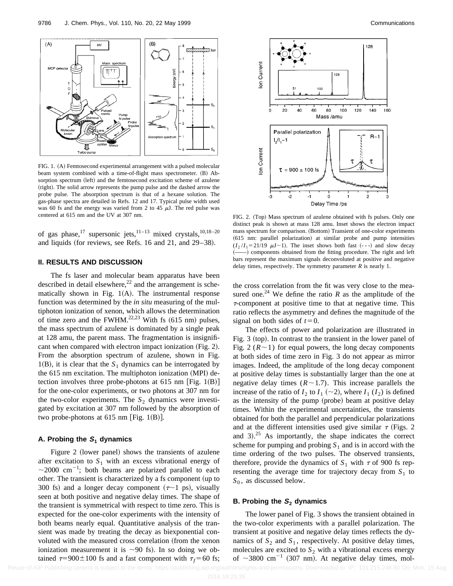

FIG. 1. (A) Femtosecond experimental arrangement with a pulsed molecular beam system combined with a time-of-flight mass spectrometer. (B) Absorption spectrum (left) and the femtosecond excitation scheme of azulene (right). The solid arrow represents the pump pulse and the dashed arrow the probe pulse. The absorption spectrum is that of a hexane solution. The gas-phase spectra are detailed in Refs. 12 and 17. Typical pulse width used was 60 fs and the energy was varied from 2 to 45  $\mu$ J. The red pulse was centered at 615 nm and the UV at 307 nm.

of gas phase,<sup>17</sup> supersonic jets,<sup>11–13</sup> mixed crystals,<sup>10,18–20</sup> and liquids (for reviews, see Refs. 16 and 21, and 29–38).

#### **II. RESULTS AND DISCUSSION**

The fs laser and molecular beam apparatus have been described in detail elsewhere, $^{22}$  and the arrangement is schematically shown in Fig.  $1(A)$ . The instrumental response function was determined by the *in situ* measuring of the multiphoton ionization of xenon, which allows the determination of time zero and the FWHM.<sup>22,23</sup> With fs  $(615$  nm) pulses, the mass spectrum of azulene is dominated by a single peak at 128 amu, the parent mass. The fragmentation is insignificant when compared with electron impact ionization  $(Fig. 2)$ . From the absorption spectrum of azulene, shown in Fig. 1(B), it is clear that the  $S_1$  dynamics can be interrogated by the  $615$  nm excitation. The multiphoton ionization (MPI) detection involves three probe-photons at 615 nm [Fig. 1(B)] for the one-color experiments, or two photons at 307 nm for the two-color experiments. The  $S_2$  dynamics were investigated by excitation at 307 nm followed by the absorption of two probe-photons at 615 nm [Fig. 1(B)].

#### **A. Probing the <sup>S</sup><sup>1</sup> dynamics**

Figure 2 (lower panel) shows the transients of azulene after excitation to  $S_1$  with an excess vibrational energy of  $\sim$ 2000 cm<sup>-1</sup>; both beams are polarized parallel to each other. The transient is characterized by a fs component (up to 300 fs) and a longer decay component  $(\tau \sim 1 \text{ ps})$ , visually seen at both positive and negative delay times. The shape of the transient is symmetrical with respect to time zero. This is expected for the one-color experiments with the intensity of both beams nearly equal. Quantitative analysis of the transient was made by treating the decay as biexponential convoluted with the measured cross correlation (from the xenon ionization measurement it is  $\sim$ 90 fs). In so doing we obtained  $\tau$ =900±100 fs and a fast component with  $\tau_f$ =60 fs;



FIG. 2. (Top) Mass spectrum of azulene obtained with fs pulses. Only one distinct peak is shown at mass 128 amu. Inset shows the electron impact mass spectrum for comparison. (Bottom) Transient of one-color experiments  $(615$  nm: parallel polarization) at similar probe and pump intensities  $(I_2 / I_1 = 21/19 \mu J \sim 1)$ . The inset shows both fast  $(--)$  and slow decay (-) components obtained from the fitting procedure. The right and left bars represent the maximum signals deconvoluted at positive and negative delay times, respectively. The symmetry parameter *R* is nearly 1.

the cross correlation from the fit was very close to the measured one.<sup>24</sup> We define the ratio *R* as the amplitude of the  $\tau$ -component at positive time to that at negative time. This ratio reflects the asymmetry and defines the magnitude of the signal on both sides of  $t=0$ .

The effects of power and polarization are illustrated in Fig.  $3$  (top). In contrast to the transient in the lower panel of Fig. 2 ( $R \sim 1$ ) for equal powers, the long decay components at both sides of time zero in Fig. 3 do not appear as mirror images. Indeed, the amplitude of the long decay component at positive delay times is substantially larger than the one at negative delay times  $(R \sim 1.7)$ . This increase parallels the increase of the ratio of  $I_2$  to  $I_1$  ( $\sim$ 2), where  $I_1$  ( $I_2$ ) is defined as the intensity of the pump (probe) beam at positive delay times. Within the experimental uncertainties, the transients obtained for both the parallel and perpendicular polarizations and at the different intensities used give similar  $\tau$  (Figs. 2) and  $3$ ).<sup>25</sup> As importantly, the shape indicates the correct scheme for pumping and probing  $S_1$  and is in accord with the time ordering of the two pulses. The observed transients, therefore, provide the dynamics of  $S_1$  with  $\tau$  of 900 fs representing the average time for trajectory decay from  $S_1$  to *S*<sub>0</sub>, as discussed below.

#### **B. Probing the <sup>S</sup><sup>2</sup> dynamics**

The lower panel of Fig. 3 shows the transient obtained in the two-color experiments with a parallel polarization. The transient at positive and negative delay times reflects the dynamics of  $S_2$  and  $S_1$ , respectively. At positive delay times, molecules are excited to  $S_2$  with a vibrational excess energy of  $\sim$ 3800 cm<sup>-1</sup> (307 nm). At negative delay times, mol-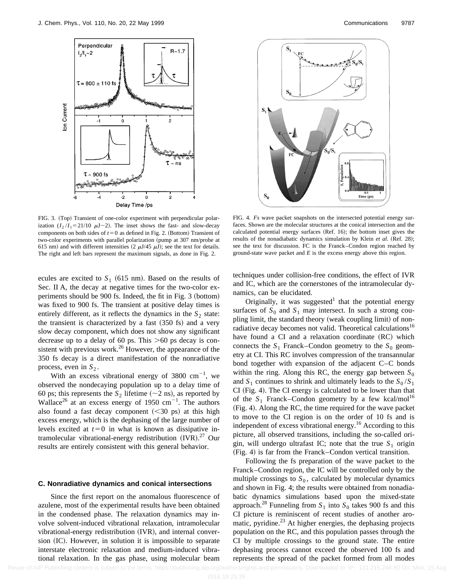

FIG. 3. (Top) Transient of one-color experiment with perpendicular polarization  $(I_2/I_1=21/10 \mu J\sim 2)$ . The inset shows the fast- and slow-decay components on both sides of  $t=0$  as defined in Fig. 2. (Bottom) Transient of two-color experiments with parallel polarization (pump at 307 nm/probe at 615 nm) and with different intensities  $(2 \mu J/45 \mu J)$ ; see the text for details. The right and left bars represent the maximum signals, as done in Fig. 2.

ecules are excited to  $S_1$  (615 nm). Based on the results of Sec. II A, the decay at negative times for the two-color experiments should be 900 fs. Indeed, the fit in Fig. 3 (bottom) was fixed to 900 fs. The transient at positive delay times is entirely different, as it reflects the dynamics in the  $S_2$  state: the transient is characterized by a fast  $(350 \text{ fs})$  and a very slow decay component, which does not show any significant decrease up to a delay of 60 ps. This  $>60$  ps decay is consistent with previous work. $26$  However, the appearance of the 350 fs decay is a direct manifestation of the nonradiative process, even in  $S_2$ .

With an excess vibrational energy of  $3800 \text{ cm}^{-1}$ , we observed the nondecaying population up to a delay time of 60 ps; this represents the  $S_2$  lifetime ( $\sim$ 2 ns), as reported by Wallace<sup>26</sup> at an excess energy of 1950 cm<sup>-1</sup>. The authors also found a fast decay component  $( $30$  ps) at this high$ excess energy, which is the dephasing of the large number of levels excited at  $t=0$  in what is known as dissipative intramolecular vibrational-energy redistribution (IVR).<sup>27</sup> Our results are entirely consistent with this general behavior.

#### **C. Nonradiative dynamics and conical intersections**

Since the first report on the anomalous fluorescence of azulene, most of the experimental results have been obtained in the condensed phase. The relaxation dynamics may involve solvent-induced vibrational relaxation, intramolecular vibrational-energy redistribution (IVR), and internal conversion (IC). However, in solution it is impossible to separate interstate electronic relaxation and medium-induced vibrational relaxation. In the gas phase, using molecular beam



FIG. 4. *Fs* wave packet snapshots on the intersected potential energy surfaces. Shown are the molecular structures at the conical intersection and the calculated potential energy surfaces (Ref. 16); the bottom inset gives the results of the nonadiabatic dynamics simulation by Klein et al. (Ref. 28); see the text for discussion. FC is the Franck–Condon region reached by ground-state wave packet and *E* is the excess energy above this region.

techniques under collision-free conditions, the effect of IVR and IC, which are the cornerstones of the intramolecular dynamics, can be elucidated.

Originally, it was suggested that the potential energy surfaces of  $S_0$  and  $S_1$  may intersect. In such a strong coupling limit, the standard theory (weak coupling limit) of nonradiative decay becomes not valid. Theoretical calculations<sup>16</sup> have found a CI and a relaxation coordinate  $(RC)$  which connects the  $S_1$  Franck–Condon geometry to the  $S_0$  geometry at CI. This RC involves compression of the transannular bond together with expansion of the adjacent C–C bonds within the ring. Along this RC, the energy gap between  $S_0$ and  $S_1$  continues to shrink and ultimately leads to the  $S_0/S_1$  $CI$  (Fig. 4). The CI energy is calculated to be lower than that of the  $S_1$  Franck–Condon geometry by a few kcal/mol<sup>16</sup>  $(Fig. 4)$ . Along the RC, the time required for the wave packet to move to the CI region is on the order of 10 fs and is independent of excess vibrational energy.<sup>16</sup> According to this picture, all observed transitions, including the so-called origin, will undergo ultrafast IC; note that the true  $S_1$  origin  $(Fig. 4)$  is far from the Franck–Condon vertical transition.

Following the fs preparation of the wave packet to the Franck–Condon region, the IC will be controlled only by the multiple crossings to  $S_0$ , calculated by molecular dynamics and shown in Fig. 4; the results were obtained from nonadiabatic dynamics simulations based upon the mixed-state approach.<sup>28</sup> Funneling from  $S_1$  into  $S_0$  takes 900 fs and this CI picture is reminiscent of recent studies of another aromatic, pyridine. $^{23}$  At higher energies, the dephasing projects population on the RC, and this population passes through the CI by multiple crossings to the ground state. The entire dephasing process cannot exceed the observed 100 fs and represents the spread of the packet formed from all modes